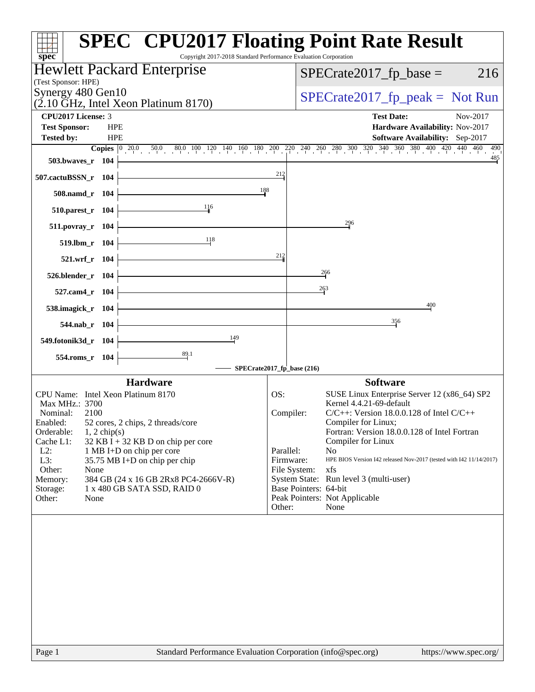| <b>SPEC<sup>®</sup></b> CPU2017 Floating Point Rate Result<br>Copyright 2017-2018 Standard Performance Evaluation Corporation<br>spec <sup>®</sup>                                                         |                            |                                                                          |
|------------------------------------------------------------------------------------------------------------------------------------------------------------------------------------------------------------|----------------------------|--------------------------------------------------------------------------|
| Hewlett Packard Enterprise<br>(Test Sponsor: HPE)                                                                                                                                                          |                            | $SPECrate2017_fp\_base =$<br>216                                         |
| Synergy 480 Gen10<br>$(2.10 \text{ GHz}, \text{Intel Xeon Platinum } 8170)$                                                                                                                                |                            | $SPECrate2017fr peak = Not Run$                                          |
| <b>CPU2017 License: 3</b>                                                                                                                                                                                  |                            | <b>Test Date:</b><br>Nov-2017                                            |
| <b>HPE</b><br><b>Test Sponsor:</b><br><b>HPE</b><br><b>Tested by:</b>                                                                                                                                      |                            | Hardware Availability: Nov-2017<br>Software Availability: Sep-2017       |
| <b>Copies</b> $\begin{bmatrix} 0 & 20.0 & 50.0 & 80.0 & 100 & 120 & 140 & 160 & 180 & 200 & 220 & 240 & 260 & 280 & 300 & 320 & 340 & 360 & 380 & 400 & 420 & 440 & 460 \end{bmatrix}$<br>503.bwaves_r 104 |                            | 490<br>$\frac{485}{5}$                                                   |
| 507.cactuBSSN_r 104                                                                                                                                                                                        | 212                        |                                                                          |
| 188<br>508.namd_r 104                                                                                                                                                                                      |                            |                                                                          |
| $\frac{11}{16}$<br>$510.parest_r 104$                                                                                                                                                                      |                            |                                                                          |
| 511.povray_r 104                                                                                                                                                                                           |                            | 296                                                                      |
| 118<br>$519. lbm_r 104$                                                                                                                                                                                    |                            |                                                                          |
| 521.wrf_r 104                                                                                                                                                                                              | $^{212}$                   |                                                                          |
| $526.blender_r 104$                                                                                                                                                                                        |                            | 266                                                                      |
| 527.cam4_r 104                                                                                                                                                                                             |                            | 263                                                                      |
| 538.imagick_r 104                                                                                                                                                                                          |                            | 400                                                                      |
| the control of the control of the control of<br>544.nab_r 104                                                                                                                                              |                            | 356                                                                      |
| $\frac{149}{ }$<br>549.fotonik3d_r 104                                                                                                                                                                     |                            |                                                                          |
| $\frac{89.1}{4}$<br>554.roms_r 104                                                                                                                                                                         |                            |                                                                          |
|                                                                                                                                                                                                            | SPECrate2017_fp_base (216) |                                                                          |
| <b>Hardware</b><br>CPU Name: Intel Xeon Platinum 8170                                                                                                                                                      |                            | <b>Software</b>                                                          |
| Max MHz.: 3700                                                                                                                                                                                             | OS:                        | SUSE Linux Enterprise Server 12 (x86_64) SP2<br>Kernel 4.4.21-69-default |
| Nominal:<br>2100                                                                                                                                                                                           | Compiler:                  | $C/C++$ : Version 18.0.0.128 of Intel $C/C++$                            |
| 52 cores, 2 chips, 2 threads/core<br>Enabled:<br>Orderable:<br>$1, 2$ chip(s)                                                                                                                              |                            | Compiler for Linux;<br>Fortran: Version 18.0.0.128 of Intel Fortran      |
| Cache L1:<br>$32$ KB I + 32 KB D on chip per core                                                                                                                                                          |                            | Compiler for Linux                                                       |
| $L2$ :<br>1 MB I+D on chip per core                                                                                                                                                                        | Parallel:                  | N <sub>o</sub>                                                           |
| L3:<br>35.75 MB I+D on chip per chip                                                                                                                                                                       | Firmware:                  | HPE BIOS Version I42 released Nov-2017 (tested with I42 11/14/2017)      |
| Other:<br>None<br>384 GB (24 x 16 GB 2Rx8 PC4-2666V-R)<br>Memory:                                                                                                                                          | File System:               | xfs<br>System State: Run level 3 (multi-user)                            |
| Storage:<br>1 x 480 GB SATA SSD, RAID 0                                                                                                                                                                    | Base Pointers: 64-bit      |                                                                          |
| Other:<br>None                                                                                                                                                                                             |                            | Peak Pointers: Not Applicable                                            |
|                                                                                                                                                                                                            | Other:                     | None                                                                     |
|                                                                                                                                                                                                            |                            |                                                                          |
|                                                                                                                                                                                                            |                            |                                                                          |
|                                                                                                                                                                                                            |                            |                                                                          |
|                                                                                                                                                                                                            |                            |                                                                          |
|                                                                                                                                                                                                            |                            |                                                                          |
|                                                                                                                                                                                                            |                            |                                                                          |
|                                                                                                                                                                                                            |                            |                                                                          |
|                                                                                                                                                                                                            |                            |                                                                          |
|                                                                                                                                                                                                            |                            |                                                                          |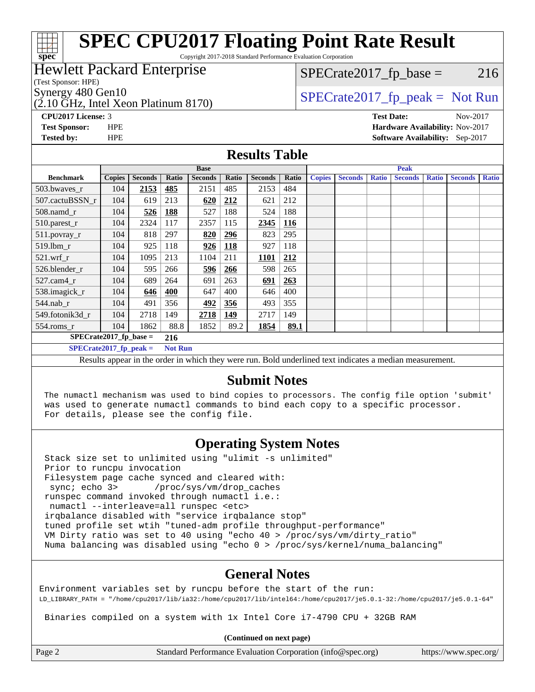# **[spec](http://www.spec.org/)**

# **[SPEC CPU2017 Floating Point Rate Result](http://www.spec.org/auto/cpu2017/Docs/result-fields.html#SPECCPU2017FloatingPointRateResult)**

Copyright 2017-2018 Standard Performance Evaluation Corporation

### Hewlett Packard Enterprise

(Test Sponsor: HPE)

(2.10 GHz, Intel Xeon Platinum 8170)

 $SPECTate2017<sub>fr</sub> base = 216$ 

Synergy 480 Gen10  $SPECrate2017$  fp\_peak = Not Run

**[CPU2017 License:](http://www.spec.org/auto/cpu2017/Docs/result-fields.html#CPU2017License)** 3 **[Test Date:](http://www.spec.org/auto/cpu2017/Docs/result-fields.html#TestDate)** Nov-2017 **[Test Sponsor:](http://www.spec.org/auto/cpu2017/Docs/result-fields.html#TestSponsor)** HPE **[Hardware Availability:](http://www.spec.org/auto/cpu2017/Docs/result-fields.html#HardwareAvailability)** Nov-2017 **[Tested by:](http://www.spec.org/auto/cpu2017/Docs/result-fields.html#Testedby)** HPE **[Software Availability:](http://www.spec.org/auto/cpu2017/Docs/result-fields.html#SoftwareAvailability)** Sep-2017

#### **[Results Table](http://www.spec.org/auto/cpu2017/Docs/result-fields.html#ResultsTable)**

|                           | <b>Base</b>                                                                                                                                                                                                                                                                                                                                                                                                                                                                                                                                                                                                                                                                                                                             |                |                |                |            |                | <b>Peak</b> |               |                |              |                |              |                |              |
|---------------------------|-----------------------------------------------------------------------------------------------------------------------------------------------------------------------------------------------------------------------------------------------------------------------------------------------------------------------------------------------------------------------------------------------------------------------------------------------------------------------------------------------------------------------------------------------------------------------------------------------------------------------------------------------------------------------------------------------------------------------------------------|----------------|----------------|----------------|------------|----------------|-------------|---------------|----------------|--------------|----------------|--------------|----------------|--------------|
| <b>Benchmark</b>          | <b>Copies</b>                                                                                                                                                                                                                                                                                                                                                                                                                                                                                                                                                                                                                                                                                                                           | <b>Seconds</b> | Ratio          | <b>Seconds</b> | Ratio      | <b>Seconds</b> | Ratio       | <b>Copies</b> | <b>Seconds</b> | <b>Ratio</b> | <b>Seconds</b> | <b>Ratio</b> | <b>Seconds</b> | <b>Ratio</b> |
| 503.bwaves_r              | 104                                                                                                                                                                                                                                                                                                                                                                                                                                                                                                                                                                                                                                                                                                                                     | 2153           | 485            | 2151           | 485        | 2153           | 484         |               |                |              |                |              |                |              |
| 507.cactuBSSN r           | 104                                                                                                                                                                                                                                                                                                                                                                                                                                                                                                                                                                                                                                                                                                                                     | 619            | 213            | 620            | 212        | 621            | 212         |               |                |              |                |              |                |              |
| 508.namd_r                | 104                                                                                                                                                                                                                                                                                                                                                                                                                                                                                                                                                                                                                                                                                                                                     | 526            | 188            | 527            | 188        | 524            | 188         |               |                |              |                |              |                |              |
| 510.parest_r              | 104                                                                                                                                                                                                                                                                                                                                                                                                                                                                                                                                                                                                                                                                                                                                     | 2324           | 117            | 2357           | 115        | 2345           | 116         |               |                |              |                |              |                |              |
| 511.povray_r              | 104                                                                                                                                                                                                                                                                                                                                                                                                                                                                                                                                                                                                                                                                                                                                     | 818            | 297            | 820            | 296        | 823            | 295         |               |                |              |                |              |                |              |
| 519.lbm r                 | 104                                                                                                                                                                                                                                                                                                                                                                                                                                                                                                                                                                                                                                                                                                                                     | 925            | 118            | 926            | <b>118</b> | 927            | 118         |               |                |              |                |              |                |              |
| $521$ .wrf r              | 104                                                                                                                                                                                                                                                                                                                                                                                                                                                                                                                                                                                                                                                                                                                                     | 1095           | 213            | 1104           | 211        | <b>1101</b>    | 212         |               |                |              |                |              |                |              |
| 526.blender_r             | 104                                                                                                                                                                                                                                                                                                                                                                                                                                                                                                                                                                                                                                                                                                                                     | 595            | 266            | 596            | 266        | 598            | 265         |               |                |              |                |              |                |              |
| $527$ .cam $4r$           | 104                                                                                                                                                                                                                                                                                                                                                                                                                                                                                                                                                                                                                                                                                                                                     | 689            | 264            | 691            | 263        | 691            | 263         |               |                |              |                |              |                |              |
| 538.imagick_r             | 104                                                                                                                                                                                                                                                                                                                                                                                                                                                                                                                                                                                                                                                                                                                                     | 646            | 400            | 647            | 400        | 646            | 400         |               |                |              |                |              |                |              |
| $544$ .nab_r              | 104                                                                                                                                                                                                                                                                                                                                                                                                                                                                                                                                                                                                                                                                                                                                     | 491            | 356            | 492            | 356        | 493            | 355         |               |                |              |                |              |                |              |
| 549.fotonik3d r           | 104                                                                                                                                                                                                                                                                                                                                                                                                                                                                                                                                                                                                                                                                                                                                     | 2718           | 149            | 2718           | 149        | 2717           | 149         |               |                |              |                |              |                |              |
| 554.roms_r                | 104                                                                                                                                                                                                                                                                                                                                                                                                                                                                                                                                                                                                                                                                                                                                     | 1862           | 88.8           | 1852           | 89.2       | 1854           | 89.1        |               |                |              |                |              |                |              |
| $SPECrate2017_fp\_base =$ |                                                                                                                                                                                                                                                                                                                                                                                                                                                                                                                                                                                                                                                                                                                                         |                | 216            |                |            |                |             |               |                |              |                |              |                |              |
| $SPECrate2017$ fp peak =  |                                                                                                                                                                                                                                                                                                                                                                                                                                                                                                                                                                                                                                                                                                                                         |                | <b>Not Run</b> |                |            |                |             |               |                |              |                |              |                |              |
|                           | $\mathbf{D}$ 11 $\mathbf{I}$ 1 $\mathbf{I}$ 1 $\mathbf{I}$ 1 $\mathbf{I}$ 1 $\mathbf{I}$ 1 $\mathbf{I}$ 1 $\mathbf{I}$ 1 $\mathbf{I}$ 1 $\mathbf{I}$ 1 $\mathbf{I}$ 1 $\mathbf{I}$ 1 $\mathbf{I}$ 1 $\mathbf{I}$ 1 $\mathbf{I}$ 1 $\mathbf{I}$ 1 $\mathbf{I}$ 1 $\mathbf{I}$ 1 $\mathbf{I}$ 1 $\mathbf{I}$ 1<br>$\mathbf{D}$ and $\mathbf{D}$ and $\mathbf{D}$ and $\mathbf{D}$ and $\mathbf{D}$ and $\mathbf{D}$ and $\mathbf{D}$ and $\mathbf{D}$ and $\mathbf{D}$ and $\mathbf{D}$ and $\mathbf{D}$ and $\mathbf{D}$ and $\mathbf{D}$ and $\mathbf{D}$ and $\mathbf{D}$ and $\mathbf{D}$ and $\mathbf{D}$ and<br>and the contract of the contract of the contract of the contract of the contract of the contract of the contract of |                |                |                |            |                |             |               |                |              |                |              |                |              |

Results appear in the [order in which they were run.](http://www.spec.org/auto/cpu2017/Docs/result-fields.html#RunOrder) Bold underlined text [indicates a median measurement.](http://www.spec.org/auto/cpu2017/Docs/result-fields.html#Median)

#### **[Submit Notes](http://www.spec.org/auto/cpu2017/Docs/result-fields.html#SubmitNotes)**

 The numactl mechanism was used to bind copies to processors. The config file option 'submit' was used to generate numactl commands to bind each copy to a specific processor. For details, please see the config file.

### **[Operating System Notes](http://www.spec.org/auto/cpu2017/Docs/result-fields.html#OperatingSystemNotes)**

 Stack size set to unlimited using "ulimit -s unlimited" Prior to runcpu invocation Filesystem page cache synced and cleared with: sync; echo 3> /proc/sys/vm/drop\_caches runspec command invoked through numactl i.e.: numactl --interleave=all runspec <etc> irqbalance disabled with "service irqbalance stop" tuned profile set wtih "tuned-adm profile throughput-performance" VM Dirty ratio was set to 40 using "echo 40 > /proc/sys/vm/dirty\_ratio" Numa balancing was disabled using "echo 0 > /proc/sys/kernel/numa\_balancing"

### **[General Notes](http://www.spec.org/auto/cpu2017/Docs/result-fields.html#GeneralNotes)**

Environment variables set by runcpu before the start of the run: LD\_LIBRARY\_PATH = "/home/cpu2017/lib/ia32:/home/cpu2017/lib/intel64:/home/cpu2017/je5.0.1-32:/home/cpu2017/je5.0.1-64"

Binaries compiled on a system with 1x Intel Core i7-4790 CPU + 32GB RAM

**(Continued on next page)**

Page 2 Standard Performance Evaluation Corporation [\(info@spec.org\)](mailto:info@spec.org) <https://www.spec.org/>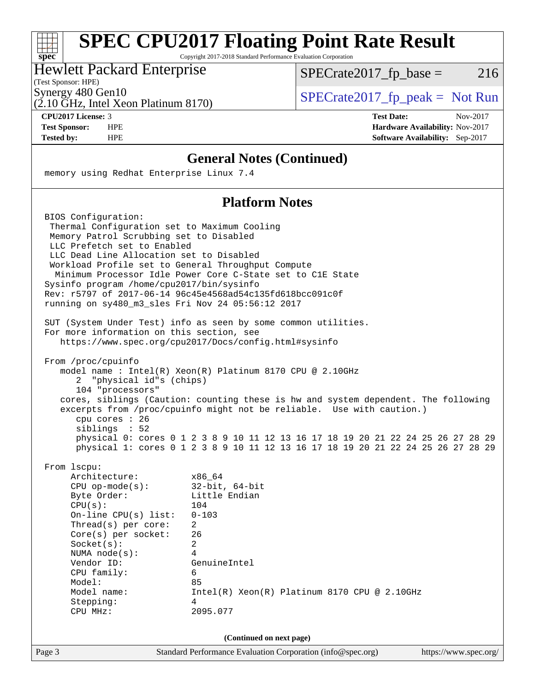## **[SPEC CPU2017 Floating Point Rate Result](http://www.spec.org/auto/cpu2017/Docs/result-fields.html#SPECCPU2017FloatingPointRateResult)**

Copyright 2017-2018 Standard Performance Evaluation Corporation

### Hewlett Packard Enterprise

(Test Sponsor: HPE)

**[spec](http://www.spec.org/)**

 $+\ +$ 

 $SPECTate2017_fp\_base = 216$ 

 $(2.10 \text{ GHz}, \text{Intel Xeon Platinum } 8170)$ Synergy 480 Gen10<br>  $\begin{array}{c|c}\n\text{SPECTate2017\_fp\_peak} = \text{Not Run} \\
\hline\n\text{SPECTate2017\_fp\_peak} = \text{Not Run}\n\end{array}$ 

**[CPU2017 License:](http://www.spec.org/auto/cpu2017/Docs/result-fields.html#CPU2017License)** 3 **[Test Date:](http://www.spec.org/auto/cpu2017/Docs/result-fields.html#TestDate)** Nov-2017

**[Test Sponsor:](http://www.spec.org/auto/cpu2017/Docs/result-fields.html#TestSponsor)** HPE **[Hardware Availability:](http://www.spec.org/auto/cpu2017/Docs/result-fields.html#HardwareAvailability)** Nov-2017 **[Tested by:](http://www.spec.org/auto/cpu2017/Docs/result-fields.html#Testedby)** HPE **[Software Availability:](http://www.spec.org/auto/cpu2017/Docs/result-fields.html#SoftwareAvailability)** Sep-2017

#### **[General Notes \(Continued\)](http://www.spec.org/auto/cpu2017/Docs/result-fields.html#GeneralNotes)**

memory using Redhat Enterprise Linux 7.4

#### **[Platform Notes](http://www.spec.org/auto/cpu2017/Docs/result-fields.html#PlatformNotes)**

|                                                                                                                                                                                                                                                                                                                                                                                                | T IGUULIII TUUS                                                                                                                                                                                                                                                                                                                                                                                      |
|------------------------------------------------------------------------------------------------------------------------------------------------------------------------------------------------------------------------------------------------------------------------------------------------------------------------------------------------------------------------------------------------|------------------------------------------------------------------------------------------------------------------------------------------------------------------------------------------------------------------------------------------------------------------------------------------------------------------------------------------------------------------------------------------------------|
| BIOS Configuration:<br>Thermal Configuration set to Maximum Cooling<br>Memory Patrol Scrubbing set to Disabled<br>LLC Prefetch set to Enabled<br>LLC Dead Line Allocation set to Disabled<br>Workload Profile set to General Throughput Compute<br>Sysinfo program /home/cpu2017/bin/sysinfo<br>running on sy480 m3 sles Fri Nov 24 05:56:12 2017<br>For more information on this section, see | Minimum Processor Idle Power Core C-State set to ClE State<br>Rev: r5797 of 2017-06-14 96c45e4568ad54c135fd618bcc091c0f<br>SUT (System Under Test) info as seen by some common utilities.<br>https://www.spec.org/cpu2017/Docs/config.html#sysinfo                                                                                                                                                   |
| From /proc/cpuinfo<br>2 "physical id"s (chips)<br>104 "processors"<br>cpu cores : 26<br>siblings : 52                                                                                                                                                                                                                                                                                          | model name: $Intel(R)$ Xeon $(R)$ Platinum 8170 CPU @ 2.10GHz<br>cores, siblings (Caution: counting these is hw and system dependent. The following<br>excerpts from /proc/cpuinfo might not be reliable. Use with caution.)<br>physical 0: cores 0 1 2 3 8 9 10 11 12 13 16 17 18 19 20 21 22 24 25 26 27 28 29<br>physical 1: cores 0 1 2 3 8 9 10 11 12 13 16 17 18 19 20 21 22 24 25 26 27 28 29 |
| From 1scpu:<br>Architecture:<br>$CPU$ op-mode( $s$ ):<br>Byte Order:<br>CPU(s):<br>On-line CPU(s) list:<br>Thread( $s$ ) per core:<br>$Core(s)$ per socket:<br>Socket(s):<br>NUMA $node(s):$<br>Vendor ID:<br>CPU family:<br>Model:<br>Model name:<br>Stepping:<br>CPU MHz:                                                                                                                    | x86 64<br>$32$ -bit, $64$ -bit<br>Little Endian<br>104<br>$0 - 103$<br>$\overline{2}$<br>26<br>$\overline{2}$<br>4<br>GenuineIntel<br>6<br>85<br>$Intel(R)$ Xeon $(R)$ Platinum 8170 CPU @ 2.10GHz<br>4<br>2095.077                                                                                                                                                                                  |
|                                                                                                                                                                                                                                                                                                                                                                                                | (Continued on next page)                                                                                                                                                                                                                                                                                                                                                                             |
| Page 3                                                                                                                                                                                                                                                                                                                                                                                         | Standard Performance Evaluation Corporation (info@spec.org)<br>https://www.spec.org/                                                                                                                                                                                                                                                                                                                 |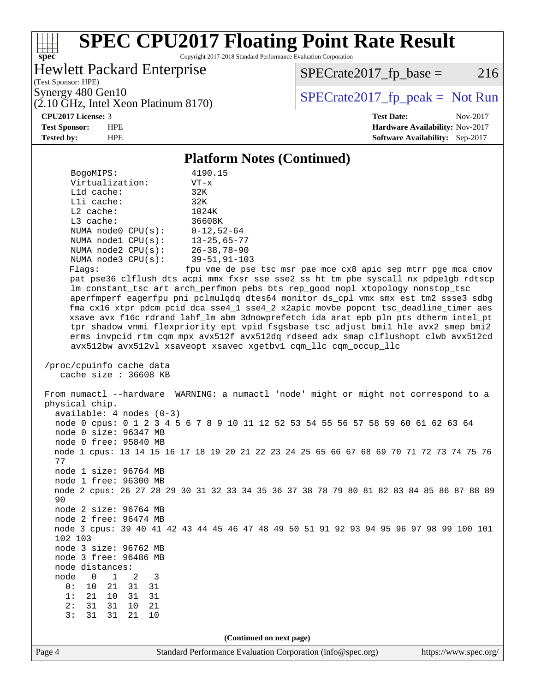# **[spec](http://www.spec.org/)**

### **[SPEC CPU2017 Floating Point Rate Result](http://www.spec.org/auto/cpu2017/Docs/result-fields.html#SPECCPU2017FloatingPointRateResult)**

Copyright 2017-2018 Standard Performance Evaluation Corporation

### Hewlett Packard Enterprise

(Test Sponsor: HPE)

 $SPECrate2017_fp\_base = 216$ 

(2.10 GHz, Intel Xeon Platinum 8170) Synergy 480 Gen10<br>  $\begin{array}{c|c}\n\text{SPECTate2017\_fp\_peak} = \text{Not Run} \\
\hline\n\text{SPECTate2017\_fp\_peak} = \text{Not Run}\n\end{array}$ 

**[CPU2017 License:](http://www.spec.org/auto/cpu2017/Docs/result-fields.html#CPU2017License)** 3 **[Test Date:](http://www.spec.org/auto/cpu2017/Docs/result-fields.html#TestDate)** Nov-2017

**[Test Sponsor:](http://www.spec.org/auto/cpu2017/Docs/result-fields.html#TestSponsor)** HPE **[Hardware Availability:](http://www.spec.org/auto/cpu2017/Docs/result-fields.html#HardwareAvailability)** Nov-2017 **[Tested by:](http://www.spec.org/auto/cpu2017/Docs/result-fields.html#Testedby)** HPE **[Software Availability:](http://www.spec.org/auto/cpu2017/Docs/result-fields.html#SoftwareAvailability)** Sep-2017

#### **[Platform Notes \(Continued\)](http://www.spec.org/auto/cpu2017/Docs/result-fields.html#PlatformNotes)**

| BogoMIPS:                                 | 4190.15                                                                                 |
|-------------------------------------------|-----------------------------------------------------------------------------------------|
| Virtualization:                           | $VT - x$                                                                                |
| $L1d$ cache:                              | 32K                                                                                     |
| Lli cache:                                | 32K                                                                                     |
| $L2$ cache:                               | 1024K                                                                                   |
| L3 cache:                                 | 36608K                                                                                  |
| NUMA $node0$ $CPU(s):$                    | $0 - 12,52 - 64$                                                                        |
| NUMA nodel CPU(s):                        | $13 - 25,65 - 77$                                                                       |
| NUMA $node2$ $CPU(s):$                    | $26 - 38, 78 - 90$                                                                      |
| NUMA $node3$ CPU $(s)$ :                  | $39 - 51, 91 - 103$                                                                     |
| Flagg:                                    | fpu vme de pse tsc msr pae mce cx8 apic sep mtrr pge mca cmov                           |
|                                           | pat pse36 clflush dts acpi mmx fxsr sse sse2 ss ht tm pbe syscall nx pdpelgb rdtscp     |
|                                           | lm constant_tsc art arch_perfmon pebs bts rep_good nopl xtopology nonstop_tsc           |
|                                           | aperfmperf eagerfpu pni pclmulqdq dtes64 monitor ds_cpl vmx smx est tm2 ssse3 sdbg      |
|                                           | fma cx16 xtpr pdcm pcid dca sse4_1 sse4_2 x2apic movbe popcnt tsc_deadline_timer aes    |
|                                           | xsave avx f16c rdrand lahf_lm abm 3dnowprefetch ida arat epb pln pts dtherm intel_pt    |
|                                           | tpr_shadow vnmi flexpriority ept vpid fsgsbase tsc_adjust bmil hle avx2 smep bmi2       |
|                                           | erms invpcid rtm cqm mpx avx512f avx512dq rdseed adx smap clflushopt clwb avx512cd      |
|                                           | avx512bw avx512vl xsaveopt xsavec xgetbvl cqm_llc cqm_occup_llc                         |
|                                           |                                                                                         |
| /proc/cpuinfo cache data                  |                                                                                         |
| cache size : 36608 KB                     |                                                                                         |
| physical chip.                            | From numactl --hardware WARNING: a numactl 'node' might or might not correspond to a    |
| $available: 4 nodes (0-3)$                |                                                                                         |
|                                           | node 0 cpus: 0 1 2 3 4 5 6 7 8 9 10 11 12 52 53 54 55 56 57 58 59 60 61 62 63 64        |
| node 0 size: 96347 MB                     |                                                                                         |
| node 0 free: 95840 MB                     |                                                                                         |
|                                           | node 1 cpus: 13 14 15 16 17 18 19 20 21 22 23 24 25 65 66 67 68 69 70 71 72 73 74 75 76 |
| 77                                        |                                                                                         |
| node 1 size: 96764 MB                     |                                                                                         |
| node 1 free: 96300 MB                     |                                                                                         |
|                                           | node 2 cpus: 26 27 28 29 30 31 32 33 34 35 36 37 38 78 79 80 81 82 83 84 85 86 87 88 89 |
| 90                                        |                                                                                         |
| node 2 size: 96764 MB                     |                                                                                         |
| node 2 free: 96474 MB                     |                                                                                         |
|                                           | node 3 cpus: 39 40 41 42 43 44 45 46 47 48 49 50 51 91 92 93 94 95 96 97 98 99 100 101  |
| 102 103                                   |                                                                                         |
| node 3 size: 96762 MB                     |                                                                                         |
| node 3 free: 96486 MB                     |                                                                                         |
| node distances:                           |                                                                                         |
| node<br>$\Omega$<br>$\mathbf 1$<br>2<br>3 |                                                                                         |
| 0:<br>10<br>21<br>31<br>31                |                                                                                         |
| 10<br>1:<br>21<br>31<br>31                |                                                                                         |
| 2:<br>31<br>21<br>31<br>10                |                                                                                         |
| 3:<br>31<br>31<br>10<br>21                |                                                                                         |
|                                           |                                                                                         |
|                                           | (Continued on next page)                                                                |
|                                           |                                                                                         |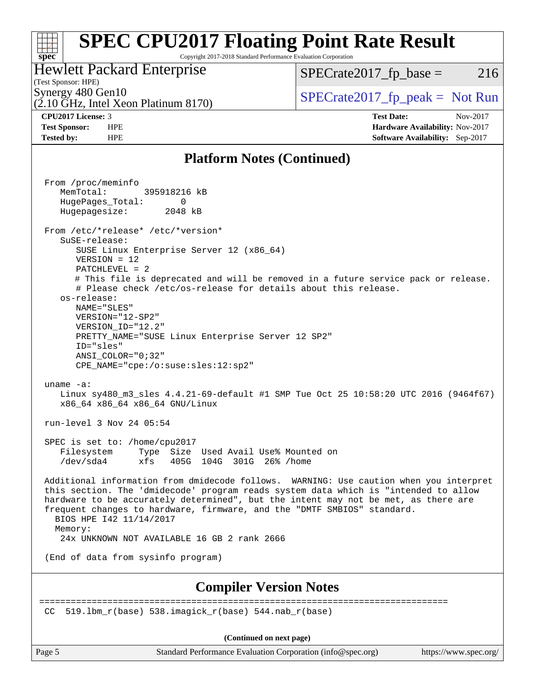#### **[SPEC CPU2017 Floating Point Rate Result](http://www.spec.org/auto/cpu2017/Docs/result-fields.html#SPECCPU2017FloatingPointRateResult)** ti h **[spec](http://www.spec.org/)** Copyright 2017-2018 Standard Performance Evaluation Corporation

Hewlett Packard Enterprise

(2.10 GHz, Intel Xeon Platinum 8170)

 $SPECTate2017<sub>fr</sub> base = 216$ 

(Test Sponsor: HPE)

Synergy 480 Gen10<br>  $SPECrate2017$  fp\_peak = Not Run

**[CPU2017 License:](http://www.spec.org/auto/cpu2017/Docs/result-fields.html#CPU2017License)** 3 **[Test Date:](http://www.spec.org/auto/cpu2017/Docs/result-fields.html#TestDate)** Nov-2017 **[Test Sponsor:](http://www.spec.org/auto/cpu2017/Docs/result-fields.html#TestSponsor)** HPE **[Hardware Availability:](http://www.spec.org/auto/cpu2017/Docs/result-fields.html#HardwareAvailability)** Nov-2017 **[Tested by:](http://www.spec.org/auto/cpu2017/Docs/result-fields.html#Testedby)** HPE **[Software Availability:](http://www.spec.org/auto/cpu2017/Docs/result-fields.html#SoftwareAvailability)** Sep-2017

### **[Platform Notes \(Continued\)](http://www.spec.org/auto/cpu2017/Docs/result-fields.html#PlatformNotes)**

 From /proc/meminfo MemTotal: 395918216 kB HugePages\_Total: 0 Hugepagesize: 2048 kB From /etc/\*release\* /etc/\*version\* SuSE-release: SUSE Linux Enterprise Server 12 (x86\_64) VERSION = 12 PATCHLEVEL = 2 # This file is deprecated and will be removed in a future service pack or release. # Please check /etc/os-release for details about this release. os-release: NAME="SLES" VERSION="12-SP2" VERSION\_ID="12.2" PRETTY\_NAME="SUSE Linux Enterprise Server 12 SP2" ID="sles" ANSI\_COLOR="0;32" CPE\_NAME="cpe:/o:suse:sles:12:sp2" uname -a: Linux sy480\_m3\_sles 4.4.21-69-default #1 SMP Tue Oct 25 10:58:20 UTC 2016 (9464f67) x86\_64 x86\_64 x86\_64 GNU/Linux run-level 3 Nov 24 05:54 SPEC is set to: /home/cpu2017 Filesystem Type Size Used Avail Use% Mounted on /dev/sda4 xfs 405G 104G 301G 26% /home Additional information from dmidecode follows. WARNING: Use caution when you interpret this section. The 'dmidecode' program reads system data which is "intended to allow hardware to be accurately determined", but the intent may not be met, as there are frequent changes to hardware, firmware, and the "DMTF SMBIOS" standard. BIOS HPE I42 11/14/2017 Memory: 24x UNKNOWN NOT AVAILABLE 16 GB 2 rank 2666 (End of data from sysinfo program) **[Compiler Version Notes](http://www.spec.org/auto/cpu2017/Docs/result-fields.html#CompilerVersionNotes)** ============================================================================== CC 519.1bm  $r(base)$  538.imagick  $r(base)$  544.nab  $r(base)$ 

**(Continued on next page)**

Page 5 Standard Performance Evaluation Corporation [\(info@spec.org\)](mailto:info@spec.org) <https://www.spec.org/>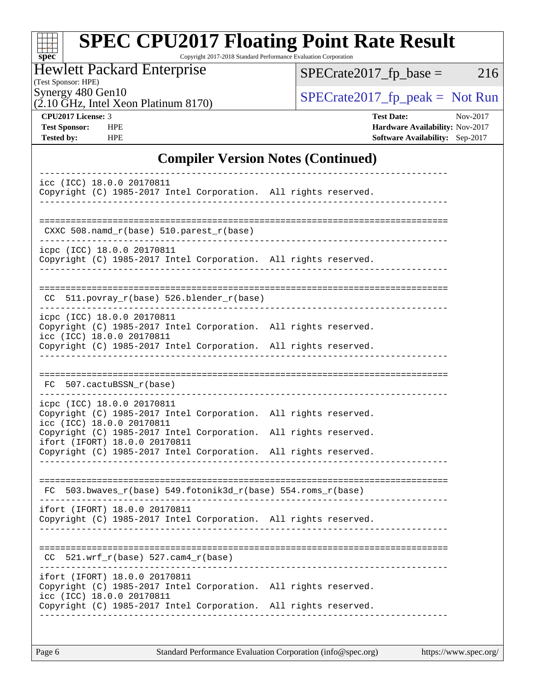| s<br>÷ | 0 | æ | Ľ |  |
|--------|---|---|---|--|

# **[SPEC CPU2017 Floating Point Rate Result](http://www.spec.org/auto/cpu2017/Docs/result-fields.html#SPECCPU2017FloatingPointRateResult)**

Copyright 2017-2018 Standard Performance Evaluation Corporation

Hewlett Packard Enterprise

(Test Sponsor: HPE)

Synergy 480 Gen10<br>  $SPECrate2017<sub>fp</sub> peak = Not Run$ <br>  $SPECrate2017<sub>fp</sub> peak = Not Run$ 

 $SPECTate2017_fp\_base = 216$ 

(2.10 GHz, Intel Xeon Platinum 8170)

**[CPU2017 License:](http://www.spec.org/auto/cpu2017/Docs/result-fields.html#CPU2017License)** 3 **[Test Date:](http://www.spec.org/auto/cpu2017/Docs/result-fields.html#TestDate)** Nov-2017 **[Test Sponsor:](http://www.spec.org/auto/cpu2017/Docs/result-fields.html#TestSponsor)** HPE **[Hardware Availability:](http://www.spec.org/auto/cpu2017/Docs/result-fields.html#HardwareAvailability)** Nov-2017 **[Tested by:](http://www.spec.org/auto/cpu2017/Docs/result-fields.html#Testedby)** HPE **[Software Availability:](http://www.spec.org/auto/cpu2017/Docs/result-fields.html#SoftwareAvailability)** Sep-2017

### **[Compiler Version Notes \(Continued\)](http://www.spec.org/auto/cpu2017/Docs/result-fields.html#CompilerVersionNotes)**

|     | icc (ICC) 18.0.0 20170811             | Copyright (C) 1985-2017 Intel Corporation. All rights reserved. |  |  |
|-----|---------------------------------------|-----------------------------------------------------------------|--|--|
|     |                                       |                                                                 |  |  |
|     |                                       | CXXC 508.namd_r(base) 510.parest_r(base)                        |  |  |
|     | icpc (ICC) 18.0.0 20170811            |                                                                 |  |  |
|     |                                       | Copyright (C) 1985-2017 Intel Corporation. All rights reserved. |  |  |
|     |                                       |                                                                 |  |  |
|     |                                       | CC 511.povray_r(base) 526.blender_r(base)                       |  |  |
|     | icpc (ICC) 18.0.0 20170811            | Copyright (C) 1985-2017 Intel Corporation. All rights reserved. |  |  |
|     | icc (ICC) 18.0.0 20170811             |                                                                 |  |  |
|     |                                       | Copyright (C) 1985-2017 Intel Corporation. All rights reserved. |  |  |
|     |                                       |                                                                 |  |  |
|     | FC 507.cactuBSSN_r(base)              |                                                                 |  |  |
|     | icpc (ICC) 18.0.0 20170811            |                                                                 |  |  |
|     | icc (ICC) 18.0.0 20170811             | Copyright (C) 1985-2017 Intel Corporation. All rights reserved. |  |  |
|     | ifort (IFORT) 18.0.0 20170811         | Copyright (C) 1985-2017 Intel Corporation. All rights reserved. |  |  |
|     |                                       | Copyright (C) 1985-2017 Intel Corporation. All rights reserved. |  |  |
|     |                                       |                                                                 |  |  |
| FC. |                                       | 503.bwaves_r(base) 549.fotonik3d_r(base) 554.roms_r(base)       |  |  |
|     | ifort (IFORT) 18.0.0 20170811         |                                                                 |  |  |
|     |                                       | Copyright (C) 1985-2017 Intel Corporation. All rights reserved. |  |  |
|     |                                       |                                                                 |  |  |
|     | $CC$ 521.wrf_r(base) 527.cam4_r(base) |                                                                 |  |  |
|     | ifort (IFORT) 18.0.0 20170811         |                                                                 |  |  |
|     |                                       | Copyright (C) 1985-2017 Intel Corporation. All rights reserved. |  |  |
|     | icc (ICC) 18.0.0 20170811             | Copyright (C) 1985-2017 Intel Corporation. All rights reserved. |  |  |
|     |                                       | __________________________________                              |  |  |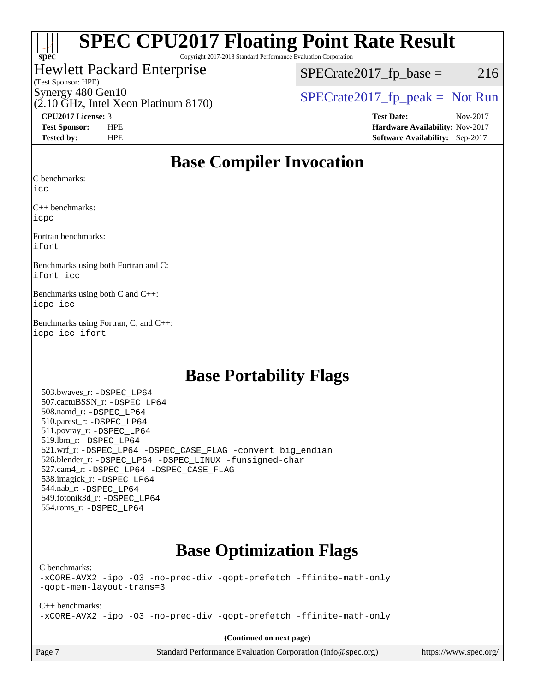### $\pm\pm\tau$ **[spec](http://www.spec.org/)**

# **[SPEC CPU2017 Floating Point Rate Result](http://www.spec.org/auto/cpu2017/Docs/result-fields.html#SPECCPU2017FloatingPointRateResult)**

Copyright 2017-2018 Standard Performance Evaluation Corporation

### Hewlett Packard Enterprise

#### (Test Sponsor: HPE)

 $SPECTate2017<sub>fr</sub> base = 216$ 

(2.10 GHz, Intel Xeon Platinum 8170) Synergy 480 Gen10  $SPECrate2017$  fp\_peak = Not Run

**[CPU2017 License:](http://www.spec.org/auto/cpu2017/Docs/result-fields.html#CPU2017License)** 3 **[Test Date:](http://www.spec.org/auto/cpu2017/Docs/result-fields.html#TestDate)** Nov-2017 **[Test Sponsor:](http://www.spec.org/auto/cpu2017/Docs/result-fields.html#TestSponsor)** HPE **[Hardware Availability:](http://www.spec.org/auto/cpu2017/Docs/result-fields.html#HardwareAvailability)** Nov-2017 **[Tested by:](http://www.spec.org/auto/cpu2017/Docs/result-fields.html#Testedby)** HPE **[Software Availability:](http://www.spec.org/auto/cpu2017/Docs/result-fields.html#SoftwareAvailability)** Sep-2017

### **[Base Compiler Invocation](http://www.spec.org/auto/cpu2017/Docs/result-fields.html#BaseCompilerInvocation)**

[C benchmarks](http://www.spec.org/auto/cpu2017/Docs/result-fields.html#Cbenchmarks):

[icc](http://www.spec.org/cpu2017/results/res2018q1/cpu2017-20171212-01858.flags.html#user_CCbase_intel_icc_18.0_66fc1ee009f7361af1fbd72ca7dcefbb700085f36577c54f309893dd4ec40d12360134090235512931783d35fd58c0460139e722d5067c5574d8eaf2b3e37e92)

[C++ benchmarks](http://www.spec.org/auto/cpu2017/Docs/result-fields.html#CXXbenchmarks): [icpc](http://www.spec.org/cpu2017/results/res2018q1/cpu2017-20171212-01858.flags.html#user_CXXbase_intel_icpc_18.0_c510b6838c7f56d33e37e94d029a35b4a7bccf4766a728ee175e80a419847e808290a9b78be685c44ab727ea267ec2f070ec5dc83b407c0218cded6866a35d07)

[Fortran benchmarks:](http://www.spec.org/auto/cpu2017/Docs/result-fields.html#Fortranbenchmarks) [ifort](http://www.spec.org/cpu2017/results/res2018q1/cpu2017-20171212-01858.flags.html#user_FCbase_intel_ifort_18.0_8111460550e3ca792625aed983ce982f94888b8b503583aa7ba2b8303487b4d8a21a13e7191a45c5fd58ff318f48f9492884d4413fa793fd88dd292cad7027ca)

[Benchmarks using both Fortran and C](http://www.spec.org/auto/cpu2017/Docs/result-fields.html#BenchmarksusingbothFortranandC): [ifort](http://www.spec.org/cpu2017/results/res2018q1/cpu2017-20171212-01858.flags.html#user_CC_FCbase_intel_ifort_18.0_8111460550e3ca792625aed983ce982f94888b8b503583aa7ba2b8303487b4d8a21a13e7191a45c5fd58ff318f48f9492884d4413fa793fd88dd292cad7027ca) [icc](http://www.spec.org/cpu2017/results/res2018q1/cpu2017-20171212-01858.flags.html#user_CC_FCbase_intel_icc_18.0_66fc1ee009f7361af1fbd72ca7dcefbb700085f36577c54f309893dd4ec40d12360134090235512931783d35fd58c0460139e722d5067c5574d8eaf2b3e37e92)

[Benchmarks using both C and C++:](http://www.spec.org/auto/cpu2017/Docs/result-fields.html#BenchmarksusingbothCandCXX) [icpc](http://www.spec.org/cpu2017/results/res2018q1/cpu2017-20171212-01858.flags.html#user_CC_CXXbase_intel_icpc_18.0_c510b6838c7f56d33e37e94d029a35b4a7bccf4766a728ee175e80a419847e808290a9b78be685c44ab727ea267ec2f070ec5dc83b407c0218cded6866a35d07) [icc](http://www.spec.org/cpu2017/results/res2018q1/cpu2017-20171212-01858.flags.html#user_CC_CXXbase_intel_icc_18.0_66fc1ee009f7361af1fbd72ca7dcefbb700085f36577c54f309893dd4ec40d12360134090235512931783d35fd58c0460139e722d5067c5574d8eaf2b3e37e92)

[Benchmarks using Fortran, C, and C++](http://www.spec.org/auto/cpu2017/Docs/result-fields.html#BenchmarksusingFortranCandCXX): [icpc](http://www.spec.org/cpu2017/results/res2018q1/cpu2017-20171212-01858.flags.html#user_CC_CXX_FCbase_intel_icpc_18.0_c510b6838c7f56d33e37e94d029a35b4a7bccf4766a728ee175e80a419847e808290a9b78be685c44ab727ea267ec2f070ec5dc83b407c0218cded6866a35d07) [icc](http://www.spec.org/cpu2017/results/res2018q1/cpu2017-20171212-01858.flags.html#user_CC_CXX_FCbase_intel_icc_18.0_66fc1ee009f7361af1fbd72ca7dcefbb700085f36577c54f309893dd4ec40d12360134090235512931783d35fd58c0460139e722d5067c5574d8eaf2b3e37e92) [ifort](http://www.spec.org/cpu2017/results/res2018q1/cpu2017-20171212-01858.flags.html#user_CC_CXX_FCbase_intel_ifort_18.0_8111460550e3ca792625aed983ce982f94888b8b503583aa7ba2b8303487b4d8a21a13e7191a45c5fd58ff318f48f9492884d4413fa793fd88dd292cad7027ca)

### **[Base Portability Flags](http://www.spec.org/auto/cpu2017/Docs/result-fields.html#BasePortabilityFlags)**

 503.bwaves\_r: [-DSPEC\\_LP64](http://www.spec.org/cpu2017/results/res2018q1/cpu2017-20171212-01858.flags.html#suite_basePORTABILITY503_bwaves_r_DSPEC_LP64) 507.cactuBSSN\_r: [-DSPEC\\_LP64](http://www.spec.org/cpu2017/results/res2018q1/cpu2017-20171212-01858.flags.html#suite_basePORTABILITY507_cactuBSSN_r_DSPEC_LP64) 508.namd\_r: [-DSPEC\\_LP64](http://www.spec.org/cpu2017/results/res2018q1/cpu2017-20171212-01858.flags.html#suite_basePORTABILITY508_namd_r_DSPEC_LP64) 510.parest\_r: [-DSPEC\\_LP64](http://www.spec.org/cpu2017/results/res2018q1/cpu2017-20171212-01858.flags.html#suite_basePORTABILITY510_parest_r_DSPEC_LP64) 511.povray\_r: [-DSPEC\\_LP64](http://www.spec.org/cpu2017/results/res2018q1/cpu2017-20171212-01858.flags.html#suite_basePORTABILITY511_povray_r_DSPEC_LP64) 519.lbm\_r: [-DSPEC\\_LP64](http://www.spec.org/cpu2017/results/res2018q1/cpu2017-20171212-01858.flags.html#suite_basePORTABILITY519_lbm_r_DSPEC_LP64) 521.wrf\_r: [-DSPEC\\_LP64](http://www.spec.org/cpu2017/results/res2018q1/cpu2017-20171212-01858.flags.html#suite_basePORTABILITY521_wrf_r_DSPEC_LP64) [-DSPEC\\_CASE\\_FLAG](http://www.spec.org/cpu2017/results/res2018q1/cpu2017-20171212-01858.flags.html#b521.wrf_r_baseCPORTABILITY_DSPEC_CASE_FLAG) [-convert big\\_endian](http://www.spec.org/cpu2017/results/res2018q1/cpu2017-20171212-01858.flags.html#user_baseFPORTABILITY521_wrf_r_convert_big_endian_c3194028bc08c63ac5d04de18c48ce6d347e4e562e8892b8bdbdc0214820426deb8554edfa529a3fb25a586e65a3d812c835984020483e7e73212c4d31a38223) 526.blender\_r: [-DSPEC\\_LP64](http://www.spec.org/cpu2017/results/res2018q1/cpu2017-20171212-01858.flags.html#suite_basePORTABILITY526_blender_r_DSPEC_LP64) [-DSPEC\\_LINUX](http://www.spec.org/cpu2017/results/res2018q1/cpu2017-20171212-01858.flags.html#b526.blender_r_baseCPORTABILITY_DSPEC_LINUX) [-funsigned-char](http://www.spec.org/cpu2017/results/res2018q1/cpu2017-20171212-01858.flags.html#user_baseCPORTABILITY526_blender_r_force_uchar_40c60f00ab013830e2dd6774aeded3ff59883ba5a1fc5fc14077f794d777847726e2a5858cbc7672e36e1b067e7e5c1d9a74f7176df07886a243d7cc18edfe67) 527.cam4\_r: [-DSPEC\\_LP64](http://www.spec.org/cpu2017/results/res2018q1/cpu2017-20171212-01858.flags.html#suite_basePORTABILITY527_cam4_r_DSPEC_LP64) [-DSPEC\\_CASE\\_FLAG](http://www.spec.org/cpu2017/results/res2018q1/cpu2017-20171212-01858.flags.html#b527.cam4_r_baseCPORTABILITY_DSPEC_CASE_FLAG) 538.imagick\_r: [-DSPEC\\_LP64](http://www.spec.org/cpu2017/results/res2018q1/cpu2017-20171212-01858.flags.html#suite_basePORTABILITY538_imagick_r_DSPEC_LP64) 544.nab\_r: [-DSPEC\\_LP64](http://www.spec.org/cpu2017/results/res2018q1/cpu2017-20171212-01858.flags.html#suite_basePORTABILITY544_nab_r_DSPEC_LP64) 549.fotonik3d\_r: [-DSPEC\\_LP64](http://www.spec.org/cpu2017/results/res2018q1/cpu2017-20171212-01858.flags.html#suite_basePORTABILITY549_fotonik3d_r_DSPEC_LP64) 554.roms\_r: [-DSPEC\\_LP64](http://www.spec.org/cpu2017/results/res2018q1/cpu2017-20171212-01858.flags.html#suite_basePORTABILITY554_roms_r_DSPEC_LP64)

### **[Base Optimization Flags](http://www.spec.org/auto/cpu2017/Docs/result-fields.html#BaseOptimizationFlags)**

[C benchmarks](http://www.spec.org/auto/cpu2017/Docs/result-fields.html#Cbenchmarks):

[-xCORE-AVX2](http://www.spec.org/cpu2017/results/res2018q1/cpu2017-20171212-01858.flags.html#user_CCbase_f-xCORE-AVX2) [-ipo](http://www.spec.org/cpu2017/results/res2018q1/cpu2017-20171212-01858.flags.html#user_CCbase_f-ipo) [-O3](http://www.spec.org/cpu2017/results/res2018q1/cpu2017-20171212-01858.flags.html#user_CCbase_f-O3) [-no-prec-div](http://www.spec.org/cpu2017/results/res2018q1/cpu2017-20171212-01858.flags.html#user_CCbase_f-no-prec-div) [-qopt-prefetch](http://www.spec.org/cpu2017/results/res2018q1/cpu2017-20171212-01858.flags.html#user_CCbase_f-qopt-prefetch) [-ffinite-math-only](http://www.spec.org/cpu2017/results/res2018q1/cpu2017-20171212-01858.flags.html#user_CCbase_f_finite_math_only_cb91587bd2077682c4b38af759c288ed7c732db004271a9512da14a4f8007909a5f1427ecbf1a0fb78ff2a814402c6114ac565ca162485bbcae155b5e4258871) [-qopt-mem-layout-trans=3](http://www.spec.org/cpu2017/results/res2018q1/cpu2017-20171212-01858.flags.html#user_CCbase_f-qopt-mem-layout-trans_de80db37974c74b1f0e20d883f0b675c88c3b01e9d123adea9b28688d64333345fb62bc4a798493513fdb68f60282f9a726aa07f478b2f7113531aecce732043)

[C++ benchmarks:](http://www.spec.org/auto/cpu2017/Docs/result-fields.html#CXXbenchmarks) [-xCORE-AVX2](http://www.spec.org/cpu2017/results/res2018q1/cpu2017-20171212-01858.flags.html#user_CXXbase_f-xCORE-AVX2) [-ipo](http://www.spec.org/cpu2017/results/res2018q1/cpu2017-20171212-01858.flags.html#user_CXXbase_f-ipo) [-O3](http://www.spec.org/cpu2017/results/res2018q1/cpu2017-20171212-01858.flags.html#user_CXXbase_f-O3) [-no-prec-div](http://www.spec.org/cpu2017/results/res2018q1/cpu2017-20171212-01858.flags.html#user_CXXbase_f-no-prec-div) [-qopt-prefetch](http://www.spec.org/cpu2017/results/res2018q1/cpu2017-20171212-01858.flags.html#user_CXXbase_f-qopt-prefetch) [-ffinite-math-only](http://www.spec.org/cpu2017/results/res2018q1/cpu2017-20171212-01858.flags.html#user_CXXbase_f_finite_math_only_cb91587bd2077682c4b38af759c288ed7c732db004271a9512da14a4f8007909a5f1427ecbf1a0fb78ff2a814402c6114ac565ca162485bbcae155b5e4258871)

**(Continued on next page)**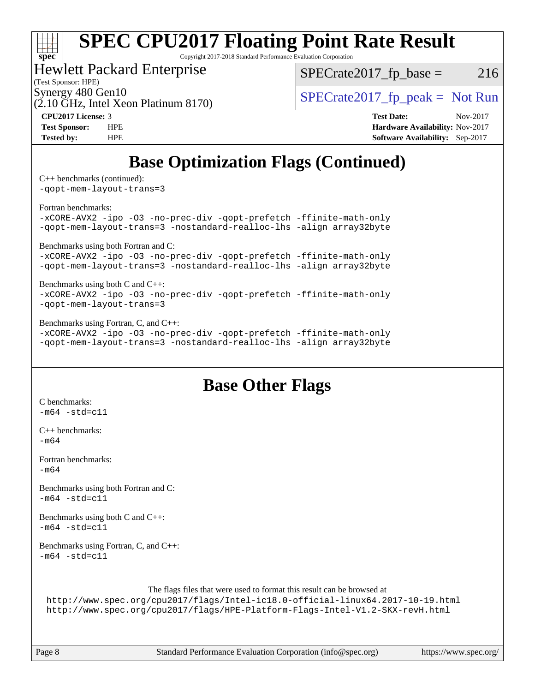# **[spec](http://www.spec.org/)**

# **[SPEC CPU2017 Floating Point Rate Result](http://www.spec.org/auto/cpu2017/Docs/result-fields.html#SPECCPU2017FloatingPointRateResult)**

Copyright 2017-2018 Standard Performance Evaluation Corporation

### Hewlett Packard Enterprise

(Test Sponsor: HPE)

 $SPECTate2017<sub>fr</sub> base = 216$ 

(2.10 GHz, Intel Xeon Platinum 8170)

Synergy 480 Gen10<br>  $SPECrate2017$  fp\_peak = Not Run

**[CPU2017 License:](http://www.spec.org/auto/cpu2017/Docs/result-fields.html#CPU2017License)** 3 **[Test Date:](http://www.spec.org/auto/cpu2017/Docs/result-fields.html#TestDate)** Nov-2017 **[Test Sponsor:](http://www.spec.org/auto/cpu2017/Docs/result-fields.html#TestSponsor)** HPE **[Hardware Availability:](http://www.spec.org/auto/cpu2017/Docs/result-fields.html#HardwareAvailability)** Nov-2017 **[Tested by:](http://www.spec.org/auto/cpu2017/Docs/result-fields.html#Testedby)** HPE **[Software Availability:](http://www.spec.org/auto/cpu2017/Docs/result-fields.html#SoftwareAvailability)** Sep-2017

### **[Base Optimization Flags \(Continued\)](http://www.spec.org/auto/cpu2017/Docs/result-fields.html#BaseOptimizationFlags)**

[C++ benchmarks](http://www.spec.org/auto/cpu2017/Docs/result-fields.html#CXXbenchmarks) (continued):

[-qopt-mem-layout-trans=3](http://www.spec.org/cpu2017/results/res2018q1/cpu2017-20171212-01858.flags.html#user_CXXbase_f-qopt-mem-layout-trans_de80db37974c74b1f0e20d883f0b675c88c3b01e9d123adea9b28688d64333345fb62bc4a798493513fdb68f60282f9a726aa07f478b2f7113531aecce732043)

[Fortran benchmarks](http://www.spec.org/auto/cpu2017/Docs/result-fields.html#Fortranbenchmarks):

[-xCORE-AVX2](http://www.spec.org/cpu2017/results/res2018q1/cpu2017-20171212-01858.flags.html#user_FCbase_f-xCORE-AVX2) [-ipo](http://www.spec.org/cpu2017/results/res2018q1/cpu2017-20171212-01858.flags.html#user_FCbase_f-ipo) [-O3](http://www.spec.org/cpu2017/results/res2018q1/cpu2017-20171212-01858.flags.html#user_FCbase_f-O3) [-no-prec-div](http://www.spec.org/cpu2017/results/res2018q1/cpu2017-20171212-01858.flags.html#user_FCbase_f-no-prec-div) [-qopt-prefetch](http://www.spec.org/cpu2017/results/res2018q1/cpu2017-20171212-01858.flags.html#user_FCbase_f-qopt-prefetch) [-ffinite-math-only](http://www.spec.org/cpu2017/results/res2018q1/cpu2017-20171212-01858.flags.html#user_FCbase_f_finite_math_only_cb91587bd2077682c4b38af759c288ed7c732db004271a9512da14a4f8007909a5f1427ecbf1a0fb78ff2a814402c6114ac565ca162485bbcae155b5e4258871) [-qopt-mem-layout-trans=3](http://www.spec.org/cpu2017/results/res2018q1/cpu2017-20171212-01858.flags.html#user_FCbase_f-qopt-mem-layout-trans_de80db37974c74b1f0e20d883f0b675c88c3b01e9d123adea9b28688d64333345fb62bc4a798493513fdb68f60282f9a726aa07f478b2f7113531aecce732043) [-nostandard-realloc-lhs](http://www.spec.org/cpu2017/results/res2018q1/cpu2017-20171212-01858.flags.html#user_FCbase_f_2003_std_realloc_82b4557e90729c0f113870c07e44d33d6f5a304b4f63d4c15d2d0f1fab99f5daaed73bdb9275d9ae411527f28b936061aa8b9c8f2d63842963b95c9dd6426b8a) [-align array32byte](http://www.spec.org/cpu2017/results/res2018q1/cpu2017-20171212-01858.flags.html#user_FCbase_align_array32byte_b982fe038af199962ba9a80c053b8342c548c85b40b8e86eb3cc33dee0d7986a4af373ac2d51c3f7cf710a18d62fdce2948f201cd044323541f22fc0fffc51b6)

[Benchmarks using both Fortran and C](http://www.spec.org/auto/cpu2017/Docs/result-fields.html#BenchmarksusingbothFortranandC):

[-xCORE-AVX2](http://www.spec.org/cpu2017/results/res2018q1/cpu2017-20171212-01858.flags.html#user_CC_FCbase_f-xCORE-AVX2) [-ipo](http://www.spec.org/cpu2017/results/res2018q1/cpu2017-20171212-01858.flags.html#user_CC_FCbase_f-ipo) [-O3](http://www.spec.org/cpu2017/results/res2018q1/cpu2017-20171212-01858.flags.html#user_CC_FCbase_f-O3) [-no-prec-div](http://www.spec.org/cpu2017/results/res2018q1/cpu2017-20171212-01858.flags.html#user_CC_FCbase_f-no-prec-div) [-qopt-prefetch](http://www.spec.org/cpu2017/results/res2018q1/cpu2017-20171212-01858.flags.html#user_CC_FCbase_f-qopt-prefetch) [-ffinite-math-only](http://www.spec.org/cpu2017/results/res2018q1/cpu2017-20171212-01858.flags.html#user_CC_FCbase_f_finite_math_only_cb91587bd2077682c4b38af759c288ed7c732db004271a9512da14a4f8007909a5f1427ecbf1a0fb78ff2a814402c6114ac565ca162485bbcae155b5e4258871) [-qopt-mem-layout-trans=3](http://www.spec.org/cpu2017/results/res2018q1/cpu2017-20171212-01858.flags.html#user_CC_FCbase_f-qopt-mem-layout-trans_de80db37974c74b1f0e20d883f0b675c88c3b01e9d123adea9b28688d64333345fb62bc4a798493513fdb68f60282f9a726aa07f478b2f7113531aecce732043) [-nostandard-realloc-lhs](http://www.spec.org/cpu2017/results/res2018q1/cpu2017-20171212-01858.flags.html#user_CC_FCbase_f_2003_std_realloc_82b4557e90729c0f113870c07e44d33d6f5a304b4f63d4c15d2d0f1fab99f5daaed73bdb9275d9ae411527f28b936061aa8b9c8f2d63842963b95c9dd6426b8a) [-align array32byte](http://www.spec.org/cpu2017/results/res2018q1/cpu2017-20171212-01858.flags.html#user_CC_FCbase_align_array32byte_b982fe038af199962ba9a80c053b8342c548c85b40b8e86eb3cc33dee0d7986a4af373ac2d51c3f7cf710a18d62fdce2948f201cd044323541f22fc0fffc51b6)

[Benchmarks using both C and C++](http://www.spec.org/auto/cpu2017/Docs/result-fields.html#BenchmarksusingbothCandCXX):

[-xCORE-AVX2](http://www.spec.org/cpu2017/results/res2018q1/cpu2017-20171212-01858.flags.html#user_CC_CXXbase_f-xCORE-AVX2) [-ipo](http://www.spec.org/cpu2017/results/res2018q1/cpu2017-20171212-01858.flags.html#user_CC_CXXbase_f-ipo) [-O3](http://www.spec.org/cpu2017/results/res2018q1/cpu2017-20171212-01858.flags.html#user_CC_CXXbase_f-O3) [-no-prec-div](http://www.spec.org/cpu2017/results/res2018q1/cpu2017-20171212-01858.flags.html#user_CC_CXXbase_f-no-prec-div) [-qopt-prefetch](http://www.spec.org/cpu2017/results/res2018q1/cpu2017-20171212-01858.flags.html#user_CC_CXXbase_f-qopt-prefetch) [-ffinite-math-only](http://www.spec.org/cpu2017/results/res2018q1/cpu2017-20171212-01858.flags.html#user_CC_CXXbase_f_finite_math_only_cb91587bd2077682c4b38af759c288ed7c732db004271a9512da14a4f8007909a5f1427ecbf1a0fb78ff2a814402c6114ac565ca162485bbcae155b5e4258871) [-qopt-mem-layout-trans=3](http://www.spec.org/cpu2017/results/res2018q1/cpu2017-20171212-01858.flags.html#user_CC_CXXbase_f-qopt-mem-layout-trans_de80db37974c74b1f0e20d883f0b675c88c3b01e9d123adea9b28688d64333345fb62bc4a798493513fdb68f60282f9a726aa07f478b2f7113531aecce732043)

[Benchmarks using Fortran, C, and C++:](http://www.spec.org/auto/cpu2017/Docs/result-fields.html#BenchmarksusingFortranCandCXX)

[-xCORE-AVX2](http://www.spec.org/cpu2017/results/res2018q1/cpu2017-20171212-01858.flags.html#user_CC_CXX_FCbase_f-xCORE-AVX2) [-ipo](http://www.spec.org/cpu2017/results/res2018q1/cpu2017-20171212-01858.flags.html#user_CC_CXX_FCbase_f-ipo) [-O3](http://www.spec.org/cpu2017/results/res2018q1/cpu2017-20171212-01858.flags.html#user_CC_CXX_FCbase_f-O3) [-no-prec-div](http://www.spec.org/cpu2017/results/res2018q1/cpu2017-20171212-01858.flags.html#user_CC_CXX_FCbase_f-no-prec-div) [-qopt-prefetch](http://www.spec.org/cpu2017/results/res2018q1/cpu2017-20171212-01858.flags.html#user_CC_CXX_FCbase_f-qopt-prefetch) [-ffinite-math-only](http://www.spec.org/cpu2017/results/res2018q1/cpu2017-20171212-01858.flags.html#user_CC_CXX_FCbase_f_finite_math_only_cb91587bd2077682c4b38af759c288ed7c732db004271a9512da14a4f8007909a5f1427ecbf1a0fb78ff2a814402c6114ac565ca162485bbcae155b5e4258871) [-qopt-mem-layout-trans=3](http://www.spec.org/cpu2017/results/res2018q1/cpu2017-20171212-01858.flags.html#user_CC_CXX_FCbase_f-qopt-mem-layout-trans_de80db37974c74b1f0e20d883f0b675c88c3b01e9d123adea9b28688d64333345fb62bc4a798493513fdb68f60282f9a726aa07f478b2f7113531aecce732043) [-nostandard-realloc-lhs](http://www.spec.org/cpu2017/results/res2018q1/cpu2017-20171212-01858.flags.html#user_CC_CXX_FCbase_f_2003_std_realloc_82b4557e90729c0f113870c07e44d33d6f5a304b4f63d4c15d2d0f1fab99f5daaed73bdb9275d9ae411527f28b936061aa8b9c8f2d63842963b95c9dd6426b8a) [-align array32byte](http://www.spec.org/cpu2017/results/res2018q1/cpu2017-20171212-01858.flags.html#user_CC_CXX_FCbase_align_array32byte_b982fe038af199962ba9a80c053b8342c548c85b40b8e86eb3cc33dee0d7986a4af373ac2d51c3f7cf710a18d62fdce2948f201cd044323541f22fc0fffc51b6)

### **[Base Other Flags](http://www.spec.org/auto/cpu2017/Docs/result-fields.html#BaseOtherFlags)**

[C benchmarks](http://www.spec.org/auto/cpu2017/Docs/result-fields.html#Cbenchmarks):  $-m64 - std= c11$  $-m64 - std= c11$ [C++ benchmarks:](http://www.spec.org/auto/cpu2017/Docs/result-fields.html#CXXbenchmarks) [-m64](http://www.spec.org/cpu2017/results/res2018q1/cpu2017-20171212-01858.flags.html#user_CXXbase_intel_intel64_18.0_af43caccfc8ded86e7699f2159af6efc7655f51387b94da716254467f3c01020a5059329e2569e4053f409e7c9202a7efc638f7a6d1ffb3f52dea4a3e31d82ab) [Fortran benchmarks](http://www.spec.org/auto/cpu2017/Docs/result-fields.html#Fortranbenchmarks):  $-m64$ [Benchmarks using both Fortran and C](http://www.spec.org/auto/cpu2017/Docs/result-fields.html#BenchmarksusingbothFortranandC):  $-m64 - std= c11$  $-m64 - std= c11$ [Benchmarks using both C and C++](http://www.spec.org/auto/cpu2017/Docs/result-fields.html#BenchmarksusingbothCandCXX):  $-m64 - std= c11$  $-m64 - std= c11$ [Benchmarks using Fortran, C, and C++:](http://www.spec.org/auto/cpu2017/Docs/result-fields.html#BenchmarksusingFortranCandCXX)  $-m64 - std= c11$  $-m64 - std= c11$ The flags files that were used to format this result can be browsed at

<http://www.spec.org/cpu2017/flags/Intel-ic18.0-official-linux64.2017-10-19.html> <http://www.spec.org/cpu2017/flags/HPE-Platform-Flags-Intel-V1.2-SKX-revH.html>